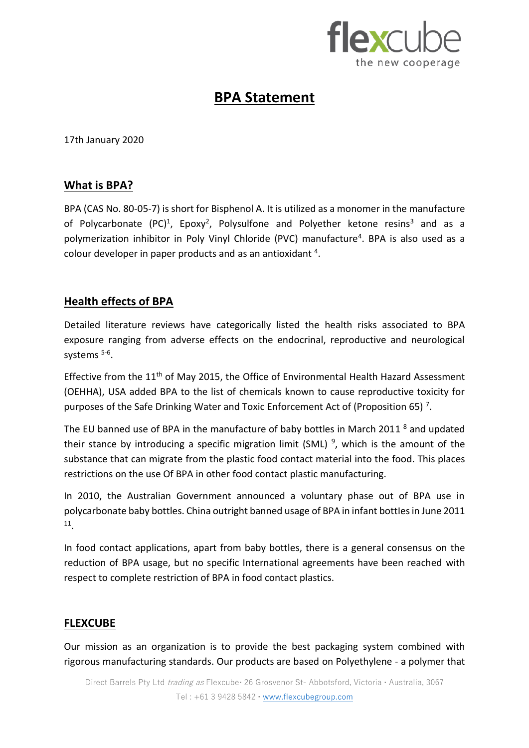

# **BPA Statement**

17th January 2020

### **What is BPA?**

BPA (CAS No. 80-05-7) is short for Bisphenol A. It is utilized as a monomer in the manufacture of Polycarbonate (PC)<sup>1</sup>, Epoxy<sup>2</sup>, Polysulfone and Polyether ketone resins<sup>3</sup> and as a polymerization inhibitor in Poly Vinyl Chloride (PVC) manufacture<sup>4</sup>. BPA is also used as a colour developer in paper products and as an antioxidant  $4$ .

# **Health effects of BPA**

Detailed literature reviews have categorically listed the health risks associated to BPA exposure ranging from adverse effects on the endocrinal, reproductive and neurological systems<sup>5-6</sup>.

Effective from the 11<sup>th</sup> of May 2015, the Office of Environmental Health Hazard Assessment (OEHHA), USA added BPA to the list of chemicals known to cause reproductive toxicity for purposes of the Safe Drinking Water and Toxic Enforcement Act of (Proposition 65)<sup>7</sup>.

The EU banned use of BPA in the manufacture of baby bottles in March 2011<sup>8</sup> and updated their stance by introducing a specific migration limit (SML)<sup>9</sup>, which is the amount of the substance that can migrate from the plastic food contact material into the food. This places restrictions on the use Of BPA in other food contact plastic manufacturing.

In 2010, the Australian Government announced a voluntary phase out of BPA use in polycarbonate baby bottles. China outright banned usage of BPA in infant bottIes in June 2011 11 .

In food contact applications, apart from baby bottles, there is a general consensus on the reduction of BPA usage, but no specific International agreements have been reached with respect to complete restriction of BPA in food contact plastics.

## **FLEXCUBE**

Our mission as an organization is to provide the best packaging system combined with rigorous manufacturing standards. Our products are based on Polyethylene - a polymer that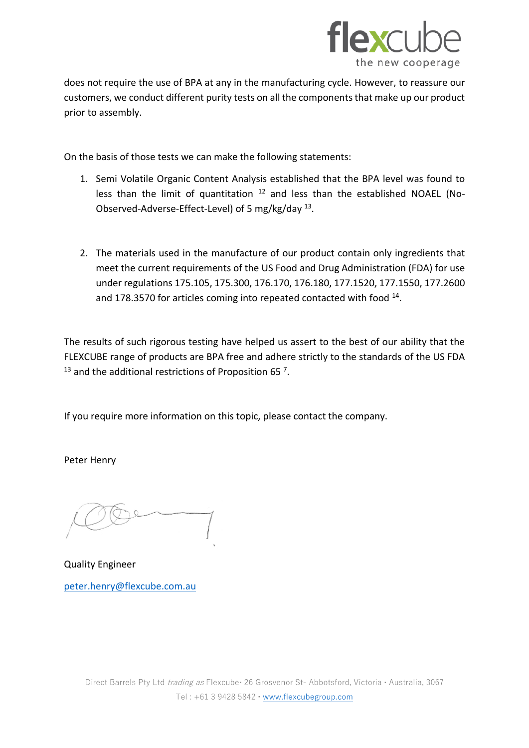

does not require the use of BPA at any in the manufacturing cycle. However, to reassure our customers, we conduct different purity tests on all the components that make up our product prior to assembly.

On the basis of those tests we can make the following statements:

- 1. Semi Volatile Organic Content Analysis established that the BPA level was found to less than the limit of quantitation  $12$  and less than the established NOAEL (No-Observed-Adverse-Effect-Level) of 5 mg/kg/day <sup>13</sup>.
- 2. The materials used in the manufacture of our product contain only ingredients that meet the current requirements of the US Food and Drug Administration (FDA) for use under regulations 175.105, 175.300, 176.170, 176.180, 177.1520, 177.1550, 177.2600 and 178.3570 for articles coming into repeated contacted with food <sup>14</sup>.

The results of such rigorous testing have helped us assert to the best of our ability that the FLEXCUBE range of products are BPA free and adhere strictly to the standards of the US FDA  $13$  and the additional restrictions of Proposition 65  $^7$ .

If you require more information on this topic, please contact the company.

Peter Henry

Quality Engineer [peter.henry@flexcube.com.au](mailto:peter.henry@flexcube.com.au)